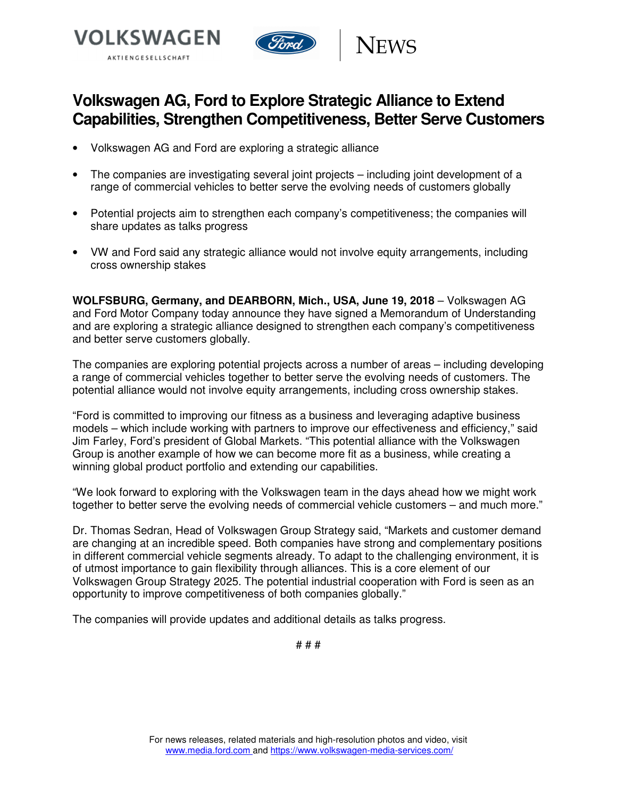



## **Volkswagen AG, Ford to Explore Strategic Alliance to Extend Capabilities, Strengthen Competitiveness, Better Serve Customers**

- Volkswagen AG and Ford are exploring a strategic alliance
- The companies are investigating several joint projects including joint development of a range of commercial vehicles to better serve the evolving needs of customers globally
- Potential projects aim to strengthen each company's competitiveness; the companies will share updates as talks progress
- VW and Ford said any strategic alliance would not involve equity arrangements, including cross ownership stakes

**WOLFSBURG, Germany, and DEARBORN, Mich., USA, June 19, 2018** – Volkswagen AG and Ford Motor Company today announce they have signed a Memorandum of Understanding and are exploring a strategic alliance designed to strengthen each company's competitiveness and better serve customers globally.

The companies are exploring potential projects across a number of areas – including developing a range of commercial vehicles together to better serve the evolving needs of customers. The potential alliance would not involve equity arrangements, including cross ownership stakes.

"Ford is committed to improving our fitness as a business and leveraging adaptive business models – which include working with partners to improve our effectiveness and efficiency," said Jim Farley, Ford's president of Global Markets. "This potential alliance with the Volkswagen Group is another example of how we can become more fit as a business, while creating a winning global product portfolio and extending our capabilities.

"We look forward to exploring with the Volkswagen team in the days ahead how we might work together to better serve the evolving needs of commercial vehicle customers – and much more."

Dr. Thomas Sedran, Head of Volkswagen Group Strategy said, "Markets and customer demand are changing at an incredible speed. Both companies have strong and complementary positions in different commercial vehicle segments already. To adapt to the challenging environment, it is of utmost importance to gain flexibility through alliances. This is a core element of our Volkswagen Group Strategy 2025. The potential industrial cooperation with Ford is seen as an opportunity to improve competitiveness of both companies globally."

The companies will provide updates and additional details as talks progress.

# # #